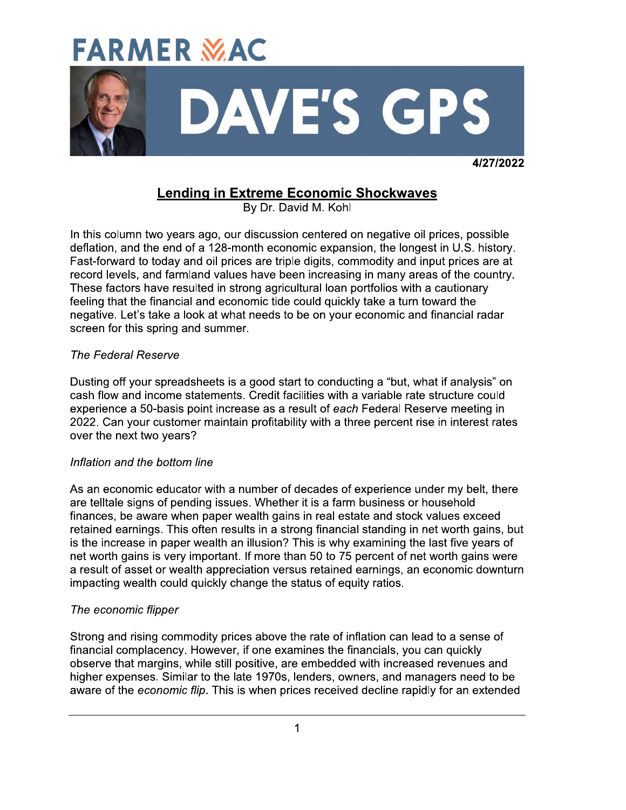

4/27/2022

# **Lending in Extreme Economic Shockwaves**

By Dr. David M. Kohl

In this column two years ago, our discussion centered on negative oil prices, possible deflation, and the end of a 128-month economic expansion, the longest in U.S. history. Fast-forward to today and oil prices are triple digits, commodity and input prices are at record levels, and farmland values have been increasing in many areas of the country. These factors have resulted in strong agricultural loan portfolios with a cautionary feeling that the financial and economic tide could quickly take a turn toward the negative. Let's take a look at what needs to be on your economic and financial radar screen for this spring and summer.

### **The Federal Reserve**

Dusting off your spreadsheets is a good start to conducting a "but, what if analysis" on cash flow and income statements. Credit facilities with a variable rate structure could experience a 50-basis point increase as a result of each Federal Reserve meeting in 2022. Can your customer maintain profitability with a three percent rise in interest rates over the next two years?

#### Inflation and the bottom line

As an economic educator with a number of decades of experience under my belt, there are telltale signs of pending issues. Whether it is a farm business or household finances, be aware when paper wealth gains in real estate and stock values exceed retained earnings. This often results in a strong financial standing in net worth gains, but is the increase in paper wealth an illusion? This is why examining the last five years of net worth gains is very important. If more than 50 to 75 percent of net worth gains were a result of asset or wealth appreciation versus retained earnings, an economic downturn impacting wealth could quickly change the status of equity ratios.

# The economic flipper

Strong and rising commodity prices above the rate of inflation can lead to a sense of financial complacency. However, if one examines the financials, you can quickly observe that margins, while still positive, are embedded with increased revenues and higher expenses. Similar to the late 1970s, lenders, owners, and managers need to be aware of the economic flip. This is when prices received decline rapidly for an extended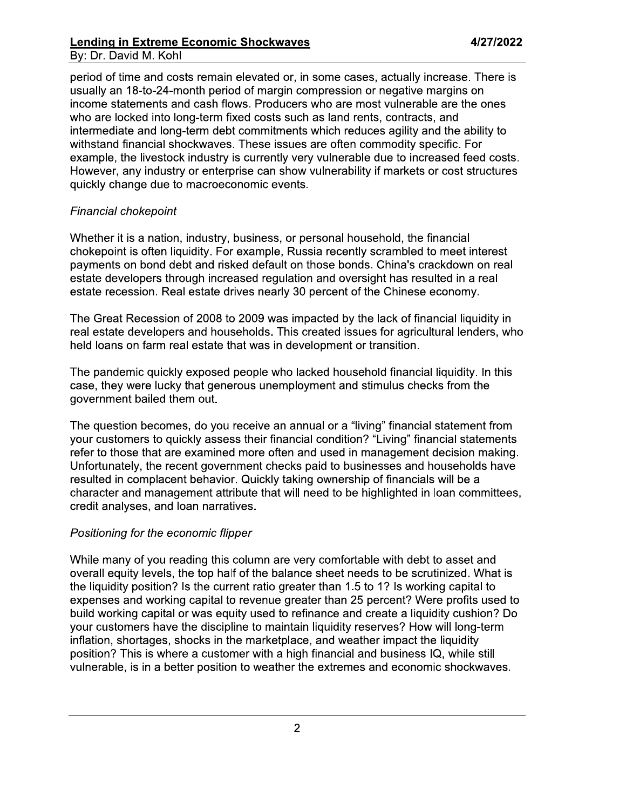### **Lending in Extreme Economic Shockwaves** By: Dr. David M. Kohl

period of time and costs remain elevated or, in some cases, actually increase. There is usually an 18-to-24-month period of margin compression or negative margins on income statements and cash flows. Producers who are most vulnerable are the ones who are locked into long-term fixed costs such as land rents, contracts, and intermediate and long-term debt commitments which reduces agility and the ability to withstand financial shockwaves. These issues are often commodity specific. For example, the livestock industry is currently very vulnerable due to increased feed costs. However, any industry or enterprise can show vulnerability if markets or cost structures quickly change due to macroeconomic events.

### Financial chokepoint

Whether it is a nation, industry, business, or personal household, the financial chokepoint is often liquidity. For example, Russia recently scrambled to meet interest payments on bond debt and risked default on those bonds. China's crackdown on real estate developers through increased regulation and oversight has resulted in a real estate recession. Real estate drives nearly 30 percent of the Chinese economy.

The Great Recession of 2008 to 2009 was impacted by the lack of financial liquidity in real estate developers and households. This created issues for agricultural lenders, who held loans on farm real estate that was in development or transition.

The pandemic quickly exposed people who lacked household financial liquidity. In this case, they were lucky that generous unemployment and stimulus checks from the government bailed them out.

The question becomes, do you receive an annual or a "living" financial statement from your customers to quickly assess their financial condition? "Living" financial statements refer to those that are examined more often and used in management decision making. Unfortunately, the recent government checks paid to businesses and households have resulted in complacent behavior. Quickly taking ownership of financials will be a character and management attribute that will need to be highlighted in loan committees, credit analyses, and loan narratives.

#### Positioning for the economic flipper

While many of you reading this column are very comfortable with debt to asset and overall equity levels, the top half of the balance sheet needs to be scrutinized. What is the liquidity position? Is the current ratio greater than 1.5 to 1? Is working capital to expenses and working capital to revenue greater than 25 percent? Were profits used to build working capital or was equity used to refinance and create a liquidity cushion? Do your customers have the discipline to maintain liquidity reserves? How will long-term inflation, shortages, shocks in the marketplace, and weather impact the liquidity position? This is where a customer with a high financial and business IQ, while still vulnerable, is in a better position to weather the extremes and economic shockwaves.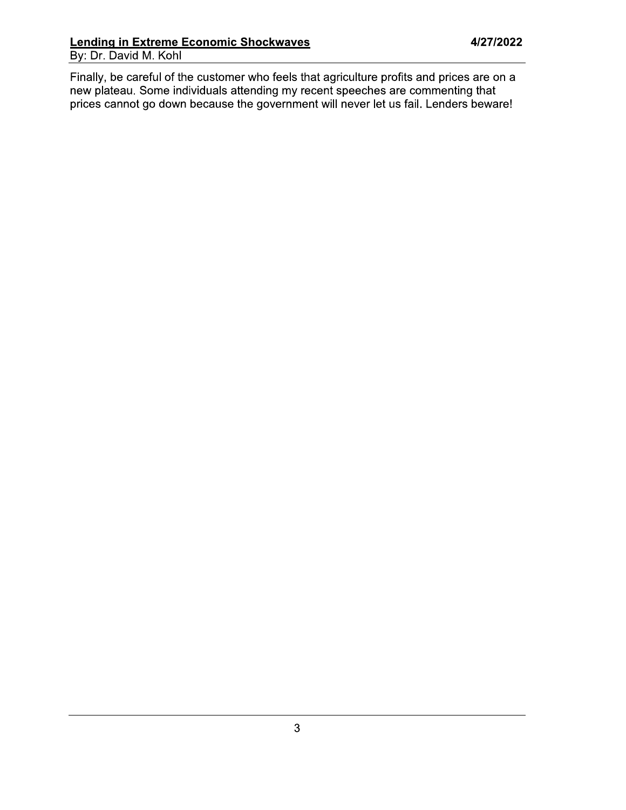Finally, be careful of the customer who feels that agriculture profits and prices are on a new plateau. Some individuals attending my recent speeches are commenting that prices cannot go down because the government will ne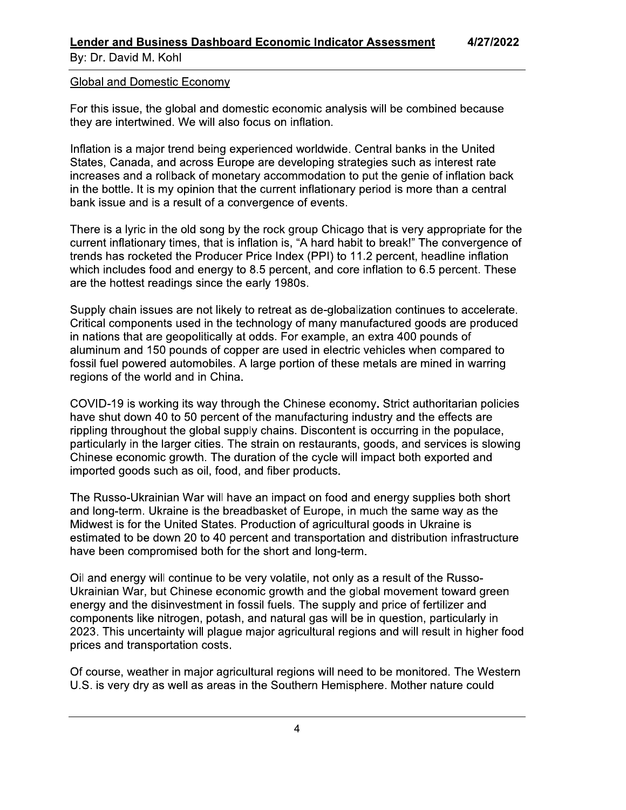By: Dr. David M. Kohl

#### **Global and Domestic Economy**

For this issue, the global and domestic economic analysis will be combined because they are intertwined. We will also focus on inflation.

Inflation is a major trend being experienced worldwide. Central banks in the United States, Canada, and across Europe are developing strategies such as interest rate increases and a rollback of monetary accommodation to put the genie of inflation back in the bottle. It is my opinion that the current inflationary period is more than a central bank issue and is a result of a convergence of events.

There is a lyric in the old song by the rock group Chicago that is very appropriate for the current inflationary times, that is inflation is, "A hard habit to break!" The convergence of trends has rocketed the Producer Price Index (PPI) to 11.2 percent, headline inflation which includes food and energy to 8.5 percent, and core inflation to 6.5 percent. These are the hottest readings since the early 1980s.

Supply chain issues are not likely to retreat as de-globalization continues to accelerate. Critical components used in the technology of many manufactured goods are produced in nations that are geopolitically at odds. For example, an extra 400 pounds of aluminum and 150 pounds of copper are used in electric vehicles when compared to fossil fuel powered automobiles. A large portion of these metals are mined in warring regions of the world and in China.

COVID-19 is working its way through the Chinese economy. Strict authoritarian policies have shut down 40 to 50 percent of the manufacturing industry and the effects are rippling throughout the global supply chains. Discontent is occurring in the populace, particularly in the larger cities. The strain on restaurants, goods, and services is slowing Chinese economic growth. The duration of the cycle will impact both exported and imported goods such as oil, food, and fiber products.

The Russo-Ukrainian War will have an impact on food and energy supplies both short and long-term. Ukraine is the breadbasket of Europe, in much the same way as the Midwest is for the United States. Production of agricultural goods in Ukraine is estimated to be down 20 to 40 percent and transportation and distribution infrastructure have been compromised both for the short and long-term.

Oil and energy will continue to be very volatile, not only as a result of the Russo-Ukrainian War, but Chinese economic growth and the global movement toward green energy and the disinvestment in fossil fuels. The supply and price of fertilizer and components like nitrogen, potash, and natural gas will be in question, particularly in 2023. This uncertainty will plague major agricultural regions and will result in higher food prices and transportation costs.

Of course, weather in major agricultural regions will need to be monitored. The Western U.S. is very dry as well as areas in the Southern Hemisphere. Mother nature could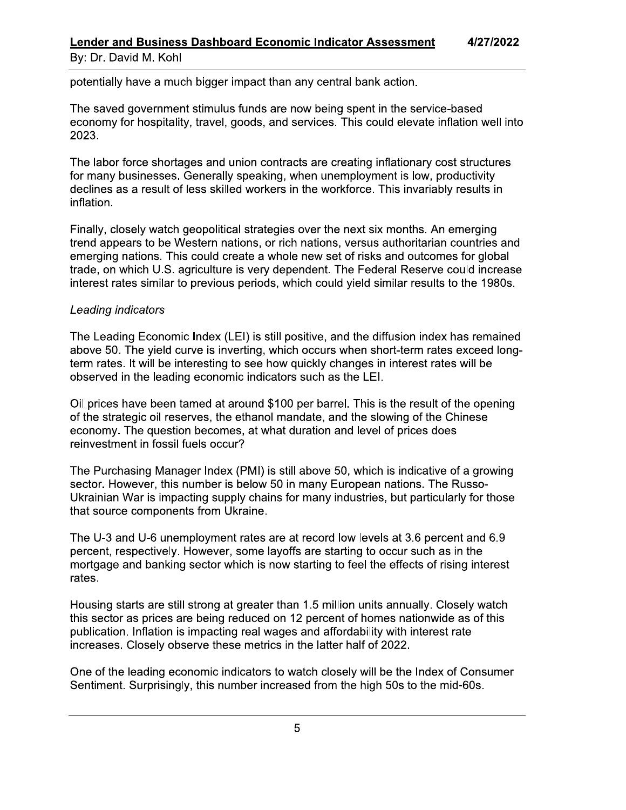#### **Lender and Business Dashboard Economic Indicator Assessment** 4/27/2022 By: Dr. David M. Kohl

potentially have a much bigger impact than any central bank action.

The saved government stimulus funds are now being spent in the service-based economy for hospitality, travel, goods, and services. This could elevate inflation well into 2023.

The labor force shortages and union contracts are creating inflationary cost structures for many businesses. Generally speaking, when unemployment is low, productivity declines as a result of less skilled workers in the workforce. This invariably results in inflation.

Finally, closely watch geopolitical strategies over the next six months. An emerging trend appears to be Western nations, or rich nations, versus authoritarian countries and emerging nations. This could create a whole new set of risks and outcomes for global trade, on which U.S. agriculture is very dependent. The Federal Reserve could increase interest rates similar to previous periods, which could yield similar results to the 1980s.

### Leading indicators

The Leading Economic Index (LEI) is still positive, and the diffusion index has remained above 50. The yield curve is inverting, which occurs when short-term rates exceed longterm rates. It will be interesting to see how quickly changes in interest rates will be observed in the leading economic indicators such as the LEI.

Oil prices have been tamed at around \$100 per barrel. This is the result of the opening of the strategic oil reserves, the ethanol mandate, and the slowing of the Chinese economy. The question becomes, at what duration and level of prices does reinvestment in fossil fuels occur?

The Purchasing Manager Index (PMI) is still above 50, which is indicative of a growing sector. However, this number is below 50 in many European nations. The Russo-Ukrainian War is impacting supply chains for many industries, but particularly for those that source components from Ukraine.

The U-3 and U-6 unemployment rates are at record low levels at 3.6 percent and 6.9 percent, respectively. However, some layoffs are starting to occur such as in the mortgage and banking sector which is now starting to feel the effects of rising interest rates.

Housing starts are still strong at greater than 1.5 million units annually. Closely watch this sector as prices are being reduced on 12 percent of homes nationwide as of this publication. Inflation is impacting real wages and affordability with interest rate increases. Closely observe these metrics in the latter half of 2022.

One of the leading economic indicators to watch closely will be the Index of Consumer Sentiment. Surprisingly, this number increased from the high 50s to the mid-60s.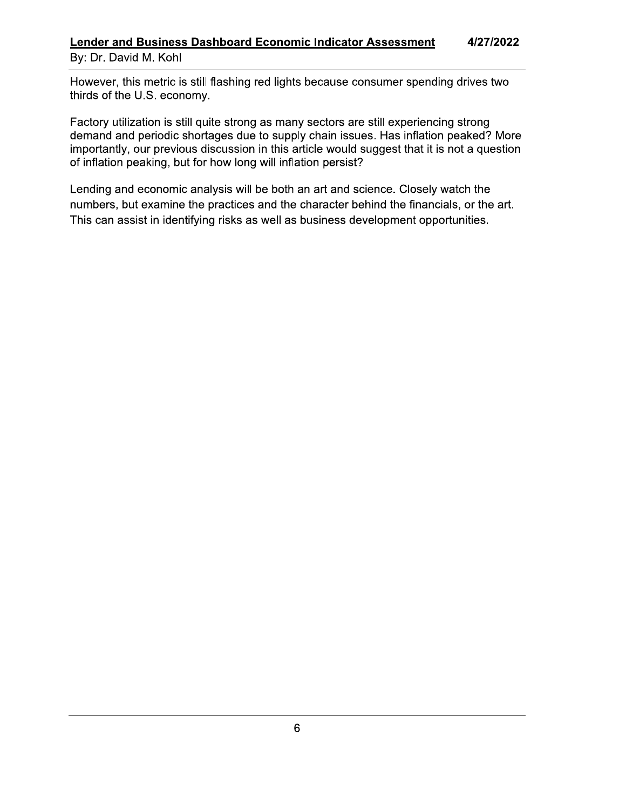#### **Lender and Business Dashboard Economic Indicator Assessment** 4/27/2022 By: Dr. David M. Kohl

However, this metric is still flashing red lights because consumer spending drives two thirds of the U.S. economy.

Factory utilization is still quite strong as many sectors are still experiencing strong demand and periodic shortages due to supply chain issues. Has inflation peaked? More importantly, our previous discussion in this article would suggest that it is not a question of inflation peaking, but for how long will inflation persist?

Lending and economic analysis will be both an art and science. Closely watch the numbers, but examine the practices and the character behind the financials, or the art. This can assist in identifying risks as well as business development opportunities.